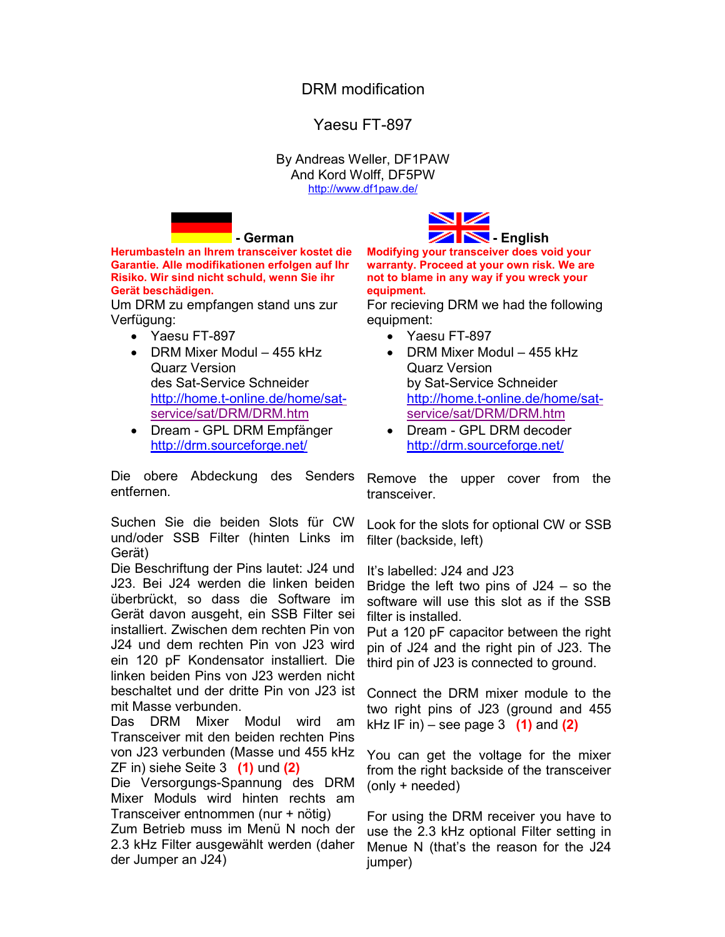## DRM modification

## Yaesu FT-897

By Andreas Weller, DF1PAW And Kord Wolff, DF5PW [http://www.df1paw.de](http://www.df1paw.de/)/

**- German**



**Herumbasteln an Ihrem transceiver kostet die Garantie. Alle modifikationen erfolgen auf Ihr Risiko. Wir sind nicht schuld, wenn Sie ihr Gerät beschädigen.**

Um DRM zu empfangen stand uns zur Verfügung:

- · Yaesu FT-897
- DRM Mixer Modul 455 kHz Quarz Version des Sat-Service Schneider [http://home.t-online.de/home/sat](http://home.t-online.de/home/sat-)service/sat/DRM/DRM.htm
- · Dream GPL DRM Empfänger [http://drm.sourceforge.net](http://drm.sourceforge.net/)/

Die obere Abdeckung des Senders entfernen.

Suchen Sie die beiden Slots für CW und/oder SSB Filter (hinten Links im Gerät)

Die Beschriftung der Pins lautet: J24 und J23. Bei J24 werden die linken beiden überbrückt, so dass die Software im Gerät davon ausgeht, ein SSB Filter sei installiert. Zwischen dem rechten Pin von J24 und dem rechten Pin von J23 wird ein 120 pF Kondensator installiert. Die linken beiden Pins von J23 werden nicht beschaltet und der dritte Pin von J23 ist mit Masse verbunden.

Das DRM Mixer Modul wird am Transceiver mit den beiden rechten Pins von J23 verbunden (Masse und 455 kHz ZF in) siehe Seite 3 **(1)** und **(2)**

Die Versorgungs-Spannung des DRM Mixer Moduls wird hinten rechts am Transceiver entnommen (nur + nötig)

Zum Betrieb muss im Menü N noch der 2.3 kHz Filter ausgewählt werden (daher der Jumper an J24)

**Modifying your transceiver does void your warranty. Proceed at your own risk. We are not to blame in any way if you wreck your equipment.**

For recieving DRM we had the following equipment:

- · Yaesu FT-897
- DRM Mixer Modul 455 kHz Quarz Version by Sat-Service Schneider [http://home.t-online.de/home/sat](http://home.t-online.de/home/sat-)service/sat/DRM/DRM.htm
- · Dream GPL DRM decoder [http://drm.sourceforge.net](http://drm.sourceforge.net/)/

Remove the upper cover from the transceiver.

Look for the slots for optional CW or SSB filter (backside, left)

It's labelled: J24 and J23

Bridge the left two pins of J24 – so the software will use this slot as if the SSB filter is installed.

Put a 120 pF capacitor between the right pin of J24 and the right pin of J23. The third pin of J23 is connected to ground.

Connect the DRM mixer module to the two right pins of J23 (ground and 455 kHz IF in) – see page 3 **(1)** and **(2)**

You can get the voltage for the mixer from the right backside of the transceiver (only + needed)

For using the DRM receiver you have to use the 2.3 kHz optional Filter setting in Menue N (that's the reason for the J24 jumper)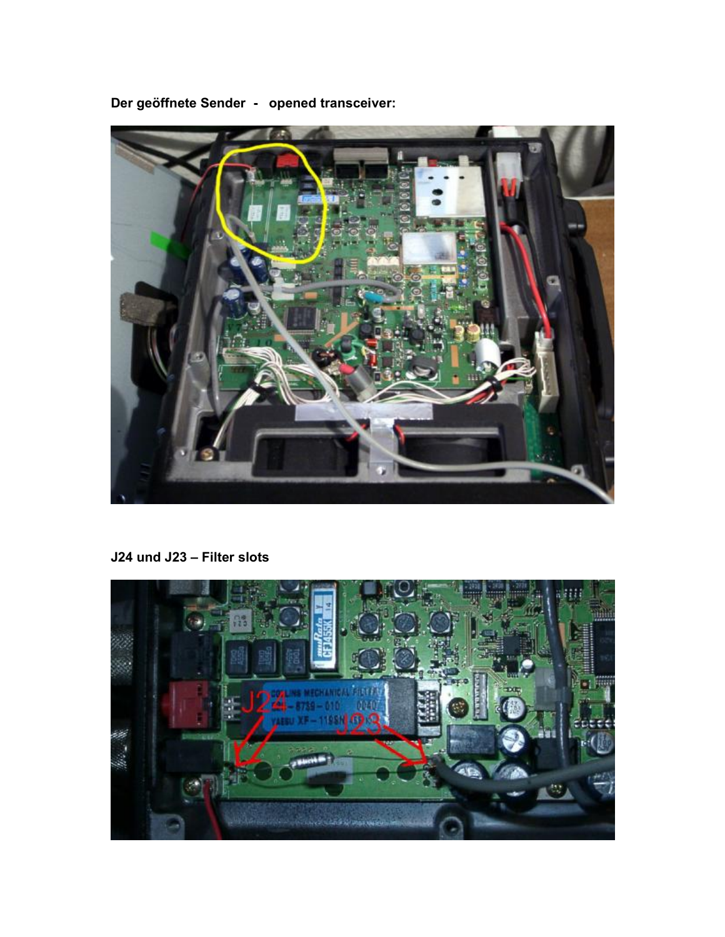

**Der geöffnete Sender - opened transceiver:** 

**J24 und J23 – Filter slots** 

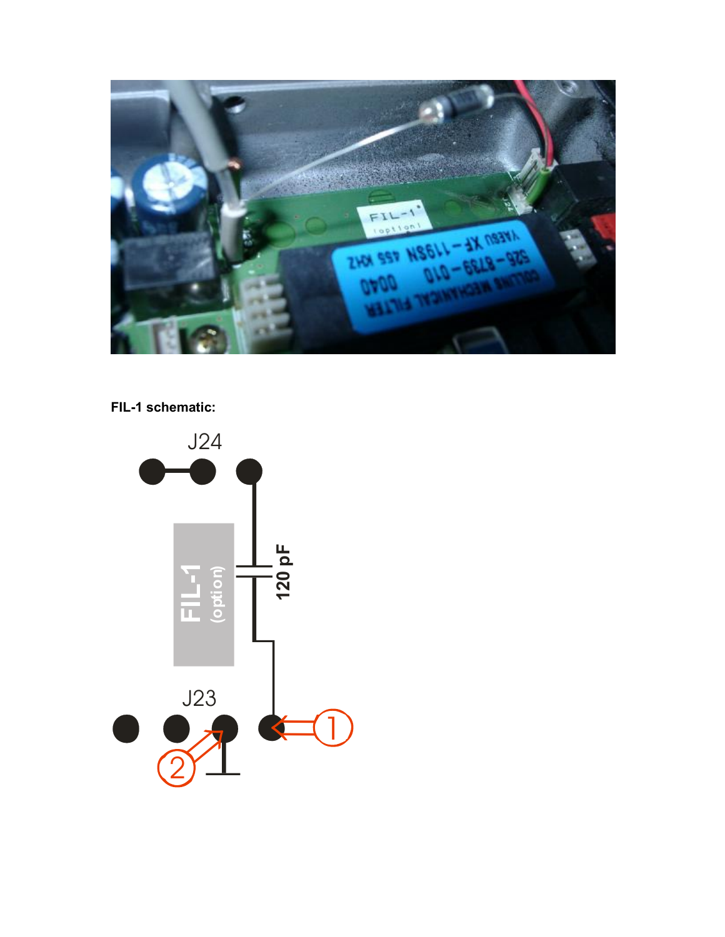

## FIL-1 schematic: